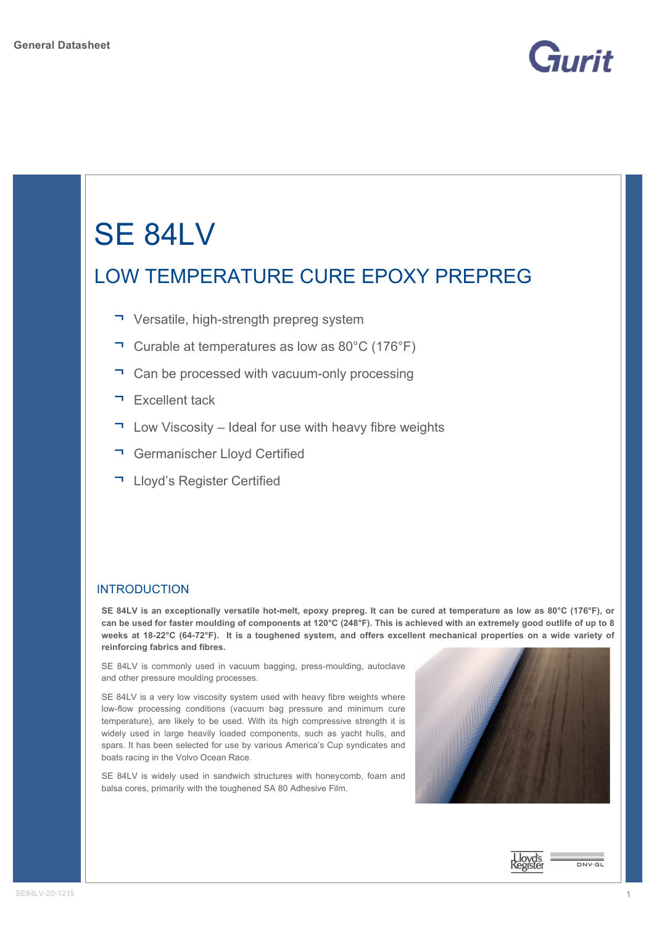

# SE 84LV

## LOW TEMPERATURE CURE EPOXY PREPREG

- ¬ Versatile, high-strength prepreg system
- ¬ Curable at temperatures as low as 80°C (176°F)
- ¬ Can be processed with vacuum-only processing
- ¬ Excellent tack
- $\Box$  Low Viscosity Ideal for use with heavy fibre weights
- ¬ Germanischer Lloyd Certified
- ¬ Lloyd's Register Certified

#### INTRODUCTION

**SE 84LV is an exceptionally versatile hot-melt, epoxy prepreg. It can be cured at temperature as low as 80°C (176°F), or can be used for faster moulding of components at 120°C (248°F). This is achieved with an extremely good outlife of up to 8 weeks at 18-22°C (64-72°F). It is a toughened system, and offers excellent mechanical properties on a wide variety of reinforcing fabrics and fibres.** 

SE 84LV is commonly used in vacuum bagging, press-moulding, autoclave and other pressure moulding processes.

SE 84LV is a very low viscosity system used with heavy fibre weights where low-flow processing conditions (vacuum bag pressure and minimum cure temperature), are likely to be used. With its high compressive strength it is widely used in large heavily loaded components, such as yacht hulls, and spars. It has been selected for use by various America's Cup syndicates and boats racing in the Volvo Ocean Race.

SE 84LV is widely used in sandwich structures with honeycomb, foam and balsa cores, primarily with the toughened SA 80 Adhesive Film.





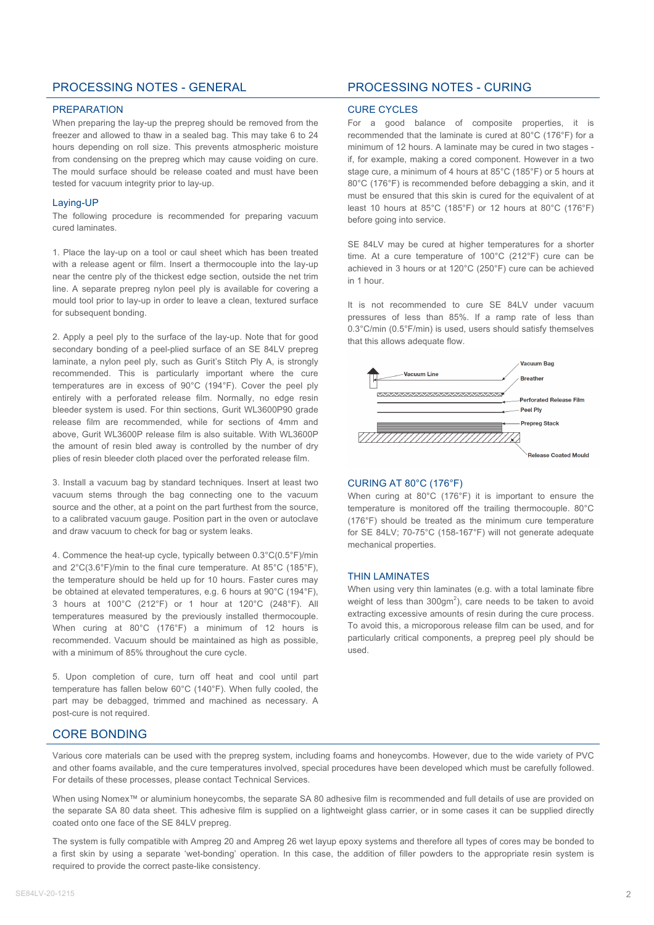#### PROCESSING NOTES - GENERAL PROCESSING NOTES - CURING

#### PREPARATION

When preparing the lay-up the prepreg should be removed from the freezer and allowed to thaw in a sealed bag. This may take 6 to 24 hours depending on roll size. This prevents atmospheric moisture from condensing on the prepreg which may cause voiding on cure. The mould surface should be release coated and must have been tested for vacuum integrity prior to lay-up.

#### Laying-UP

The following procedure is recommended for preparing vacuum cured laminates.

1. Place the lay-up on a tool or caul sheet which has been treated with a release agent or film. Insert a thermocouple into the lay-up near the centre ply of the thickest edge section, outside the net trim line. A separate prepreg nylon peel ply is available for covering a mould tool prior to lay-up in order to leave a clean, textured surface for subsequent bonding.

2. Apply a peel ply to the surface of the lay-up. Note that for good secondary bonding of a peel-plied surface of an SE 84LV prepreg laminate, a nylon peel ply, such as Gurit's Stitch Ply A, is strongly recommended. This is particularly important where the cure temperatures are in excess of 90°C (194°F). Cover the peel ply entirely with a perforated release film. Normally, no edge resin bleeder system is used. For thin sections, Gurit WL3600P90 grade release film are recommended, while for sections of 4mm and above, Gurit WL3600P release film is also suitable. With WL3600P the amount of resin bled away is controlled by the number of dry plies of resin bleeder cloth placed over the perforated release film.

3. Install a vacuum bag by standard techniques. Insert at least two vacuum stems through the bag connecting one to the vacuum source and the other, at a point on the part furthest from the source, to a calibrated vacuum gauge. Position part in the oven or autoclave and draw vacuum to check for bag or system leaks.

4. Commence the heat-up cycle, typically between 0.3°C(0.5°F)/min and 2°C(3.6°F)/min to the final cure temperature. At 85°C (185°F), the temperature should be held up for 10 hours. Faster cures may be obtained at elevated temperatures, e.g. 6 hours at 90°C (194°F), 3 hours at 100°C (212°F) or 1 hour at 120°C (248°F). All temperatures measured by the previously installed thermocouple. When curing at 80°C (176°F) a minimum of 12 hours is recommended. Vacuum should be maintained as high as possible, with a minimum of 85% throughout the cure cycle.

5. Upon completion of cure, turn off heat and cool until part temperature has fallen below 60°C (140°F). When fully cooled, the part may be debagged, trimmed and machined as necessary. A post-cure is not required.

#### CURE CYCLES

For a good balance of composite properties, it is recommended that the laminate is cured at 80°C (176°F) for a minimum of 12 hours. A laminate may be cured in two stages if, for example, making a cored component. However in a two stage cure, a minimum of 4 hours at 85°C (185°F) or 5 hours at 80°C (176°F) is recommended before debagging a skin, and it must be ensured that this skin is cured for the equivalent of at least 10 hours at 85°C (185°F) or 12 hours at 80°C (176°F) before going into service.

SE 84LV may be cured at higher temperatures for a shorter time. At a cure temperature of 100°C (212°F) cure can be achieved in 3 hours or at 120°C (250°F) cure can be achieved in 1 hour.

It is not recommended to cure SE 84LV under vacuum pressures of less than 85%. If a ramp rate of less than 0.3°C/min (0.5°F/min) is used, users should satisfy themselves that this allows adequate flow.



#### CURING AT 80°C (176°F)

When curing at 80°C (176°F) it is important to ensure the temperature is monitored off the trailing thermocouple. 80°C (176°F) should be treated as the minimum cure temperature for SE 84LV; 70-75°C (158-167°F) will not generate adequate mechanical properties.

#### THIN LAMINATES

When using very thin laminates (e.g. with a total laminate fibre weight of less than  $300gm^2$ ), care needs to be taken to avoid extracting excessive amounts of resin during the cure process. To avoid this, a microporous release film can be used, and for particularly critical components, a prepreg peel ply should be used.

#### CORE BONDING

Various core materials can be used with the prepreg system, including foams and honeycombs. However, due to the wide variety of PVC and other foams available, and the cure temperatures involved, special procedures have been developed which must be carefully followed. For details of these processes, please contact Technical Services.

When using Nomex™ or aluminium honeycombs, the separate SA 80 adhesive film is recommended and full details of use are provided on the separate SA 80 data sheet. This adhesive film is supplied on a lightweight glass carrier, or in some cases it can be supplied directly coated onto one face of the SE 84LV prepreg.

The system is fully compatible with Ampreg 20 and Ampreg 26 wet layup epoxy systems and therefore all types of cores may be bonded to a first skin by using a separate 'wet-bonding' operation. In this case, the addition of filler powders to the appropriate resin system is required to provide the correct paste-like consistency.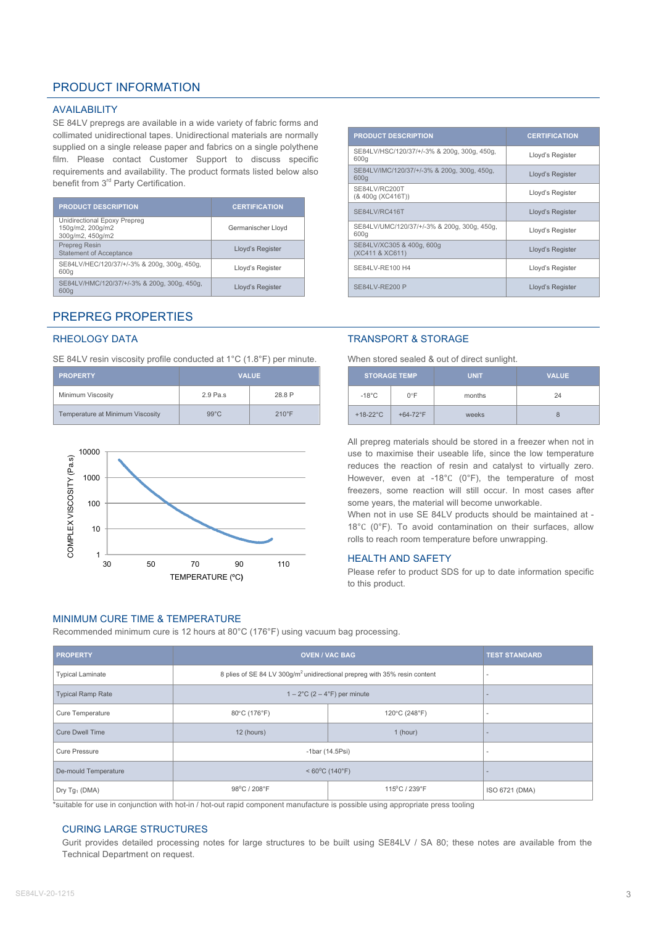#### PRODUCT INFORMATION

#### AVAILABILITY

SE 84LV prepregs are available in a wide variety of fabric forms and collimated unidirectional tapes. Unidirectional materials are normally supplied on a single release paper and fabrics on a single polythene film. Please contact Customer Support to discuss specific requirements and availability. The product formats listed below also benefit from 3<sup>rd</sup> Party Certification.

| <b>PRODUCT DESCRIPTION</b>                                           | <b>CERTIFICATION</b> |
|----------------------------------------------------------------------|----------------------|
| Unidirectional Epoxy Prepreg<br>150g/m2, 200g/m2<br>300g/m2, 450g/m2 | Germanischer Lloyd   |
| <b>Prepreg Resin</b><br><b>Statement of Acceptance</b>               | Lloyd's Register     |
| SE84LV/HEC/120/37/+/-3% & 200g, 300g, 450g,<br>600g                  | Lloyd's Register     |
| SE84LV/HMC/120/37/+/-3% & 200g, 300g, 450g,<br>600g                  | Lloyd's Register     |

#### PREPREG PROPERTIES

#### RHEOLOGY DATA

SE 84LV resin viscosity profile conducted at 1°C (1.8°F) per minute.

| <b>PROPERTY</b>                  | <b>VALUE</b>   |                 |  |  |
|----------------------------------|----------------|-----------------|--|--|
| Minimum Viscosity                | $2.9$ Pa.s.    | 28.8 P          |  |  |
| Temperature at Minimum Viscosity | $99^{\circ}$ C | $210^{\circ}$ F |  |  |



#### MINIMUM CURE TIME & TEMPERATURE

Recommended minimum cure is 12 hours at 80°C (176°F) using vacuum bag processing.

| <b>PROPERTY</b>          | <b>OVEN / VAC BAG</b>                                                                 | <b>TEST STANDARD</b>     |                |
|--------------------------|---------------------------------------------------------------------------------------|--------------------------|----------------|
| <b>Typical Laminate</b>  | 8 plies of SE 84 LV 300g/m <sup>2</sup> unidirectional prepreg with 35% resin content |                          |                |
| <b>Typical Ramp Rate</b> | $1-2$ °C (2 – 4°F) per minute                                                         | $\overline{\phantom{a}}$ |                |
| Cure Temperature         | 80°C (176°F)                                                                          | $\overline{\phantom{a}}$ |                |
| <b>Cure Dwell Time</b>   | 12 (hours)                                                                            | $\overline{\phantom{a}}$ |                |
| <b>Cure Pressure</b>     | $-1$ bar (14.5 $P$ si)                                                                | $\overline{\phantom{a}}$ |                |
| De-mould Temperature     | $< 60^{\circ}$ C (140 $^{\circ}$ F)                                                   | $\overline{\phantom{a}}$ |                |
| Dry $Tg_1$ (DMA)         | 98°C / 208°F                                                                          | 115°C / 239°F            | ISO 6721 (DMA) |

\*suitable for use in conjunction with hot-in / hot-out rapid component manufacture is possible using appropriate press tooling

#### CURING LARGE STRUCTURES

Gurit provides detailed processing notes for large structures to be built using SE84LV / SA 80; these notes are available from the Technical Department on request.

| <b>PRODUCT DESCRIPTION</b>                          | <b>CERTIFICATION</b> |
|-----------------------------------------------------|----------------------|
| SE84LV/HSC/120/37/+/-3% & 200g, 300g, 450g,<br>600g | Lloyd's Register     |
| SE84LV/IMC/120/37/+/-3% & 200g, 300g, 450g,<br>600g | Lloyd's Register     |
| SE84LV/RC200T<br>(& 400g (XC416T))                  | Lloyd's Register     |
| SE84LV/RC416T                                       | Lloyd's Register     |
| SE84LV/UMC/120/37/+/-3% & 200g, 300g, 450g,<br>600g | Lloyd's Register     |
| SE84LV/XC305 & 400g, 600g<br>(XC411 & XC611)        | Lloyd's Register     |
| SE84LV-RE100 H4                                     | Lloyd's Register     |
| <b>SE84LV-RE200 P</b>                               | Lloyd's Register     |

#### TRANSPORT & STORAGE

When stored sealed & out of direct sunlight.

| <b>STORAGE TEMP</b> |               | <b>UNIT</b> | <b>VALUE</b> |  |  |
|---------------------|---------------|-------------|--------------|--|--|
| $-18^{\circ}$ C     | $0^{\circ}$ F | months      | 24           |  |  |
| $+18-22$ °C         | $+64-72$ °F   | weeks       | 8            |  |  |

All prepreg materials should be stored in a freezer when not in use to maximise their useable life, since the low temperature reduces the reaction of resin and catalyst to virtually zero. However, even at -18°C (0°F), the temperature of most freezers, some reaction will still occur. In most cases after some years, the material will become unworkable.

When not in use SE 84LV products should be maintained at -18°C (0°F). To avoid contamination on their surfaces, allow rolls to reach room temperature before unwrapping.

#### HEALTH AND SAFETY

Please refer to product SDS for up to date information specific to this product.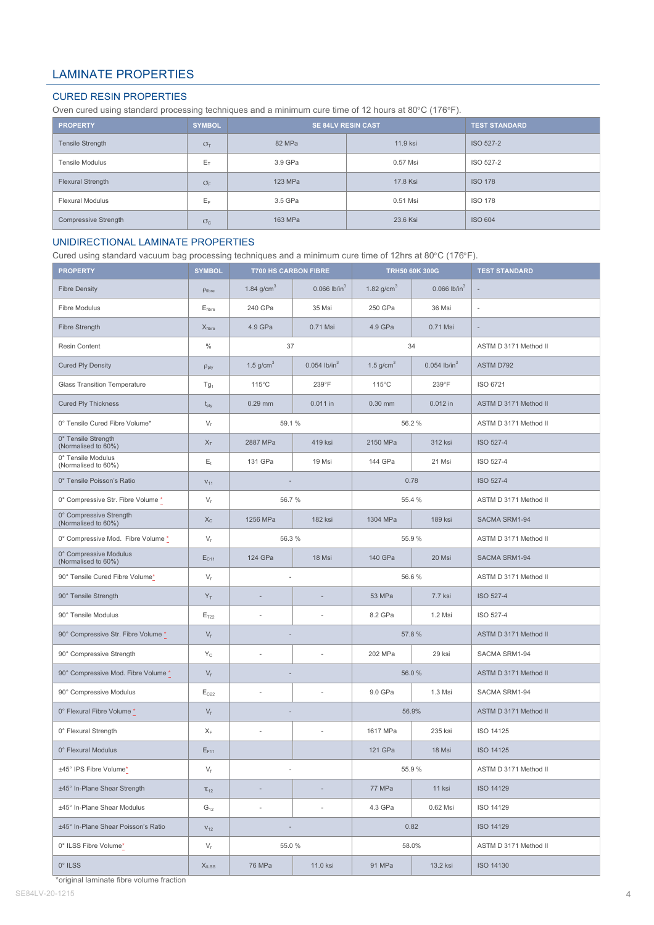### LAMINATE PROPERTIES

#### CURED RESIN PROPERTIES

Oven cured using standard processing techniques and a minimum cure time of 12 hours at 80°C (176°F).

| <b>PROPERTY</b>          | <b>SYMBOL</b>   | <b>SE 84LV RESIN CAST</b> | <b>TEST STANDARD</b> |                |  |
|--------------------------|-----------------|---------------------------|----------------------|----------------|--|
| <b>Tensile Strength</b>  | $\sigma_{\tau}$ | 82 MPa                    | 11.9 ksi             | ISO 527-2      |  |
| <b>Tensile Modulus</b>   | $E_T$           | 3.9 GPa                   | 0.57 Msi             | ISO 527-2      |  |
| <b>Flexural Strength</b> | $\sigma_{F}$    | 123 MPa                   | 17.8 Ksi             | <b>ISO 178</b> |  |
| <b>Flexural Modulus</b>  | Eε              | 3.5 GPa                   | 0.51 Msi             | <b>ISO 178</b> |  |
| Compressive Strength     | $\sigma_{c}$    | 163 MPa                   | 23.6 Ksi             | <b>ISO 604</b> |  |

#### UNIDIRECTIONAL LAMINATE PROPERTIES

Cured using standard vacuum bag processing techniques and a minimum cure time of 12hrs at 80°C (176°F).

| <b>PROPERTY</b>                                | <b>SYMBOL</b>               | <b>T700 HS CARBON FIBRE</b> |                            | <b>TRH50 60K 300G</b>                     |                            | <b>TEST STANDARD</b>  |  |
|------------------------------------------------|-----------------------------|-----------------------------|----------------------------|-------------------------------------------|----------------------------|-----------------------|--|
| <b>Fibre Density</b>                           | $\rho$ fibre                | 1.84 $g/cm3$                | $0.066$ lb/in <sup>3</sup> | 1.82 $g/cm3$                              | $0.066$ lb/in <sup>3</sup> |                       |  |
| <b>Fibre Modulus</b>                           | $E_{\text{fiber}}$          | 240 GPa                     | 35 Msi                     | 250 GPa                                   | 36 Msi                     | ÷,                    |  |
| Fibre Strength                                 | $X_{\text{fiber}}$          | 4.9 GPa                     | 0.71 Msi                   | 4.9 GPa                                   | 0.71 Msi                   | $\overline{a}$        |  |
| Resin Content                                  | $\%$                        | 37                          |                            |                                           | 34                         | ASTM D 3171 Method II |  |
| <b>Cured Ply Density</b>                       | $\rho_{\text{ply}}$         | 1.5 $g/cm3$                 | $0.054$ lb/in <sup>3</sup> | 1.5 $g/cm3$<br>$0.054$ lb/in <sup>3</sup> |                            | ASTM D792             |  |
| <b>Glass Transition Temperature</b>            | Tg <sub>1</sub>             | $115^{\circ}$ C             | 239°F                      | $115^{\circ}$ C                           | 239°F                      | ISO 6721              |  |
| <b>Cured Ply Thickness</b>                     | $t_{\text{ply}}$            | $0.29$ mm                   | $0.011$ in                 | 0.30 mm                                   | 0.012 in                   | ASTM D 3171 Method II |  |
| 0° Tensile Cured Fibre Volume*                 | $V_f$                       | 59.1%                       |                            |                                           | 56.2%                      | ASTM D 3171 Method II |  |
| 0° Tensile Strength<br>(Normalised to 60%)     | $X_T$                       | 2887 MPa                    | 419 ksi                    | 2150 MPa                                  | 312 ksi                    | ISO 527-4             |  |
| 0° Tensile Modulus<br>(Normalised to 60%)      | $E_t$                       | 131 GPa                     | 19 Msi                     | 144 GPa                                   | 21 Msi                     | ISO 527-4             |  |
| 0° Tensile Poisson's Ratio                     | $\rm V_{11}$                |                             |                            |                                           | 0.78                       | ISO 527-4             |  |
| 0° Compressive Str. Fibre Volume *             | $V_f$                       | 56.7%                       |                            |                                           | 55.4 %                     | ASTM D 3171 Method II |  |
| 0° Compressive Strength<br>(Normalised to 60%) | $X_{C}$                     | 1256 MPa                    | <b>182 ksi</b>             | 1304 MPa<br><b>189 ksi</b>                |                            | SACMA SRM1-94         |  |
| 0° Compressive Mod. Fibre Volume *             | $V_f$                       | 56.3%                       |                            | 55.9%                                     |                            | ASTM D 3171 Method II |  |
| 0° Compressive Modulus<br>(Normalised to 60%)  | $E_{C11}$                   | 124 GPa<br>18 Msi           |                            | 140 GPa<br>20 Msi                         |                            | SACMA SRM1-94         |  |
| 90° Tensile Cured Fibre Volume*                | $V_f$                       |                             |                            | 56.6%                                     |                            | ASTM D 3171 Method II |  |
| 90° Tensile Strength                           | $Y_T$                       | $\overline{a}$              |                            | 53 MPa                                    | 7.7 ksi                    | ISO 527-4             |  |
| 90° Tensile Modulus                            | $\mathsf{E}_{\mathsf{T22}}$ | ä,                          |                            | 8.2 GPa                                   | 1.2 Msi                    | ISO 527-4             |  |
| 90° Compressive Str. Fibre Volume *            | $V_f$                       |                             |                            | 57.8 %                                    |                            | ASTM D 3171 Method II |  |
| 90° Compressive Strength                       | $Y_C$                       | ä,                          |                            | 202 MPa                                   | 29 ksi                     | SACMA SRM1-94         |  |
| 90° Compressive Mod. Fibre Volume *            | $V_f$                       |                             |                            | 56.0%                                     |                            | ASTM D 3171 Method II |  |
| 90° Compressive Modulus                        | $E_{C22}$                   | í.                          |                            | 9.0 GPa                                   | 1.3 Msi                    | SACMA SRM1-94         |  |
| 0° Flexural Fibre Volume *                     | $V_f$                       |                             |                            | 56.9%                                     |                            | ASTM D 3171 Method II |  |
| 0° Flexural Strength                           | $X_F$                       | ä,                          |                            | 1617 MPa                                  | 235 ksi                    | ISO 14125             |  |
| 0° Flexural Modulus                            | $E_{F11}$                   |                             |                            | 121 GPa                                   | 18 Msi                     | <b>ISO 14125</b>      |  |
| ±45° IPS Fibre Volume*                         | $V_f$                       |                             |                            | 55.9%                                     |                            | ASTM D 3171 Method II |  |
| ±45° In-Plane Shear Strength                   | $\tau_{12}$                 | $\frac{1}{2}$               |                            | 77 MPa                                    | 11 ksi                     | ISO 14129             |  |
| ±45° In-Plane Shear Modulus                    | $G_{12}$                    | ä,                          | ä,                         | 4.3 GPa                                   | 0.62 Msi                   | ISO 14129             |  |
| ±45° In-Plane Shear Poisson's Ratio            | $V_{12}$                    |                             |                            | 0.82                                      |                            | ISO 14129             |  |
| 0° ILSS Fibre Volume*                          | $V_f$                       | 55.0 %                      |                            | 58.0%                                     |                            | ASTM D 3171 Method II |  |
| $0^\circ$ ILSS                                 | $X_{\text{ILSS}}$           | 76 MPa                      | 11.0 ksi                   | 91 MPa                                    | 13.2 ksi                   | ISO 14130             |  |

\*original laminate fibre volume fraction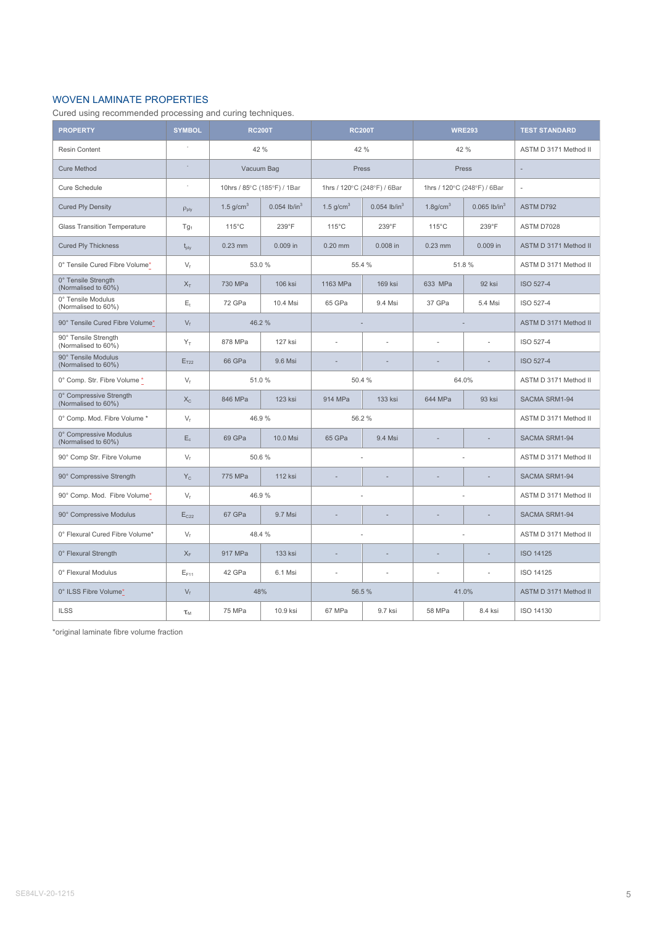#### WOVEN LAMINATE PROPERTIES

Cured using recommended processing and curing techniques.

| <b>PROPERTY</b>                                | <b>SYMBOL</b>                 | <b>RC200T</b>               |                            | <b>RC200T</b>               |                            | <b>WRE293</b>               |                            | <b>TEST STANDARD</b>  |
|------------------------------------------------|-------------------------------|-----------------------------|----------------------------|-----------------------------|----------------------------|-----------------------------|----------------------------|-----------------------|
| Resin Content                                  |                               | 42 %                        |                            | 42 %                        |                            | 42 %                        |                            | ASTM D 3171 Method II |
| <b>Cure Method</b>                             | ÷.                            | Vacuum Bag                  |                            | Press                       |                            | Press                       |                            |                       |
| Cure Schedule                                  | ÷,                            | 10hrs / 85°C (185°F) / 1Bar |                            | 1hrs / 120°C (248°F) / 6Bar |                            | 1hrs / 120°C (248°F) / 6Bar |                            | ×.                    |
| <b>Cured Ply Density</b>                       | $\rho_{\text{ply}}$           | 1.5 $g/cm3$                 | $0.054$ lb/in <sup>3</sup> | 1.5 $g/cm3$                 | $0.054$ lb/in <sup>3</sup> | $1.8$ g/cm $3$              | $0.065$ lb/in <sup>3</sup> | ASTM D792             |
| <b>Glass Transition Temperature</b>            | $Tg_1$                        | $115^{\circ}$ C             | 239°F                      | $115^{\circ}$ C             | 239°F                      | $115^{\circ}$ C             | 239°F                      | ASTM D7028            |
| <b>Cured Ply Thickness</b>                     | $t_{\text{ply}}$              | $0.23$ mm                   | $0.009$ in                 | $0.20$ mm                   | $0.008$ in                 | $0.23$ mm                   | $0.009$ in                 | ASTM D 3171 Method II |
| 0° Tensile Cured Fibre Volume*                 | $V_f$                         | 53.0%                       |                            | 55.4 %                      |                            | 51.8%                       |                            | ASTM D 3171 Method II |
| 0° Tensile Strength<br>(Normalised to 60%)     | $X_T$                         | 730 MPa                     | 106 ksi                    | 1163 MPa                    | <b>169 ksi</b>             | 633 MPa                     | 92 ksi                     | <b>ISO 527-4</b>      |
| 0° Tensile Modulus<br>(Normalised to 60%)      | $E_t$                         | 72 GPa                      | 10.4 Msi                   | 65 GPa                      | 9.4 Msi                    | 37 GPa                      | 5.4 Msi                    | ISO 527-4             |
| 90° Tensile Cured Fibre Volume*                | $V_f$                         | 46.2%                       |                            |                             |                            |                             |                            | ASTM D 3171 Method II |
| 90° Tensile Strength<br>(Normalised to 60%)    | $Y_T$                         | 878 MPa                     | <b>127 ksi</b>             | ÷.                          |                            | $\sim$                      | L,                         | ISO 527-4             |
| 90° Tensile Modulus<br>(Normalised to 60%)     | E <sub>T22</sub>              | 66 GPa                      | 9.6 Msi                    |                             |                            |                             |                            | <b>ISO 527-4</b>      |
| 0° Comp. Str. Fibre Volume *                   | $V_f$                         | 51.0%                       |                            | 50.4 %                      |                            | 64.0%                       |                            | ASTM D 3171 Method II |
| 0° Compressive Strength<br>(Normalised to 60%) | $X_{C}$                       | 846 MPa                     | <b>123 ksi</b>             | 914 MPa                     | 133 ksi                    | 644 MPa                     | 93 ksi                     | SACMA SRM1-94         |
| 0° Comp. Mod. Fibre Volume *                   | $V_f$                         | 46.9%                       |                            |                             | 56.2%                      |                             |                            | ASTM D 3171 Method II |
| 0° Compressive Modulus<br>(Normalised to 60%)  | $E_c$                         | 69 GPa                      | 10.0 Msi                   | 65 GPa                      | 9.4 Msi                    | $\overline{a}$              |                            | SACMA SRM1-94         |
| 90° Comp Str. Fibre Volume                     | $V_f$                         | 50.6%                       |                            |                             |                            |                             |                            | ASTM D 3171 Method II |
| 90° Compressive Strength                       | $Y_C$                         | 775 MPa                     | <b>112 ksi</b>             | ٠                           |                            | $\overline{a}$              |                            | SACMA SRM1-94         |
| 90° Comp. Mod. Fibre Volume*                   | $V_{f}$                       | 46.9%                       |                            |                             |                            |                             |                            | ASTM D 3171 Method II |
| 90° Compressive Modulus                        | $E_{C22}$                     | 67 GPa                      | 9.7 Msi                    |                             |                            |                             |                            | SACMA SRM1-94         |
| 0° Flexural Cured Fibre Volume*                | $V_f$                         | 48.4 %                      |                            |                             |                            |                             |                            | ASTM D 3171 Method II |
| 0° Flexural Strength                           | $X_F$                         | 917 MPa                     | 133 ksi                    | $\overline{a}$              |                            | ÷,                          | ÷,                         | <b>ISO 14125</b>      |
| 0° Flexural Modulus                            | $E_{F11}$                     | 42 GPa                      | 6.1 Msi                    | ÷,                          | ×.                         | ä,                          | ä,                         | ISO 14125             |
| 0° ILSS Fibre Volume*                          | $V_f$                         | 48%                         |                            | 56.5 %                      |                            | 41.0%                       |                            | ASTM D 3171 Method II |
| <b>ILSS</b>                                    | $\tau_{\scriptscriptstyle M}$ | 75 MPa                      | 10.9 ksi                   | 67 MPa                      | 9.7 ksi                    | 58 MPa                      | 8.4 ksi                    | ISO 14130             |

\*original laminate fibre volume fraction